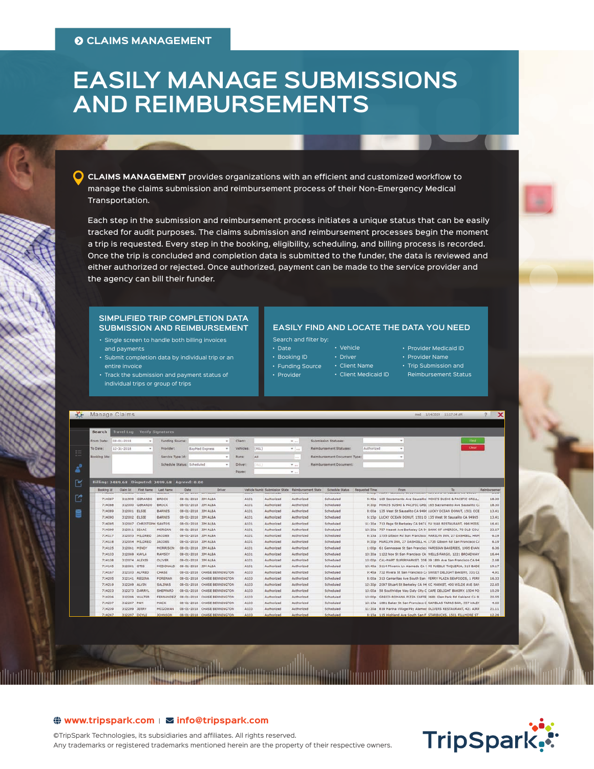# **EASILY MANAGE SUBMISSIONS AND REIMBURSEMENTS**

**CLAIMS MANAGEMENT** provides organizations with an efficient and customized workflow to manage the claims submission and reimbursement process of their Non-Emergency Medical Transportation.

Each step in the submission and reimbursement process initiates a unique status that can be easily tracked for audit purposes. The claims submission and reimbursement processes begin the moment a trip is requested. Every step in the booking, eligibility, scheduling, and billing process is recorded. Once the trip is concluded and completion data is submitted to the funder, the data is reviewed and either authorized or rejected. Once authorized, payment can be made to the service provider and the agency can bill their funder.

#### **SIMPLIFIED TRIP COMPLETION DATA SUBMISSION AND REIMBURSEMENT**

- Single screen to handle both billing invoices and payments • Submit completion data by individual trip or an
- entire invoice
- Track the submission and payment status of individual trips or group of trips

### **EASILY FIND AND LOCATE THE DATA YOU NEED**

- Search and filter by: • Date
	- Booking ID
	- Funding Source
	- Provider
	-
- Client Medicaid ID

• Vehicle • Driver • Client Name

- Provider Medicaid ID • Provider Name
- Trip Submission and
- Reimbursement Status

|           |                            | Manage Claims                       |                         |                                                 |                                      |                                 |           |             |                                                             |                                            |                                                         |                                       |                |        | med 1/14/2019 11:17:34 AM                                          | ×                    |
|-----------|----------------------------|-------------------------------------|-------------------------|-------------------------------------------------|--------------------------------------|---------------------------------|-----------|-------------|-------------------------------------------------------------|--------------------------------------------|---------------------------------------------------------|---------------------------------------|----------------|--------|--------------------------------------------------------------------|----------------------|
|           | Search                     | <b>Travel Log Verify Signatures</b> |                         |                                                 |                                      |                                 |           |             |                                                             |                                            |                                                         |                                       |                |        |                                                                    |                      |
|           | From Date:                 | 08-01-2018                          | $\sim$                  | Funding Source:                                 |                                      | $\sim$                          | Client:   |             |                                                             | $\Psi_{AB}$                                |                                                         | Submission Statuses:                  |                | $\sim$ | Find                                                               |                      |
|           | To Date:                   | $12 - 31 - 2018$                    | $\sim$                  | Provider:                                       |                                      | <b>BayMed Express</b><br>٠      | Vehicles! | [(ALL)      |                                                             | $W = 1444$                                 |                                                         | Reimbursement Statuses:               | Authorized     | ٠      | Clear                                                              |                      |
|           |                            |                                     |                         |                                                 |                                      |                                 |           |             |                                                             |                                            |                                                         |                                       |                |        |                                                                    |                      |
| <b>AP</b> | Booking Ids:               |                                     |                         | Service Type Id:                                |                                      | $\sim$                          | Runs:     | All         |                                                             | $\overline{a}$<br>$\mathcal{F}$ in         | Reimbursement Document Type:<br>Reimbursement Document: |                                       |                |        |                                                                    |                      |
|           |                            |                                     |                         | Schedule Status: Scheduled                      |                                      | $\sim$                          | Driver:   | <b>SALL</b> |                                                             |                                            |                                                         |                                       |                |        |                                                                    |                      |
|           |                            |                                     |                         |                                                 |                                      |                                 | Payee:    |             |                                                             | $W_{i+1}$                                  |                                                         |                                       |                |        |                                                                    |                      |
|           |                            |                                     |                         | Billing: 2489.68 Disputed: 2499.68 Agreed: 0.00 |                                      |                                 |           |             |                                                             |                                            |                                                         |                                       |                |        |                                                                    |                      |
|           | Booking Id<br><b>TANUU</b> | Claim Id:<br>コスミナナロ                 | First Name:             | Last Name<br><b>USHITELU</b>                    | Date:<br><b>VU VA EVAV JATT MEUP</b> | Driver                          |           | <b>MAUS</b> | Vehicle Numb Submission State<br><b><i>MULTIMATE CU</i></b> | Reimbursement State<br><b>HISTORYTE EN</b> |                                                         | Schedule Status<br><b>UNITED STEW</b> | Requested Time | From   | ъ<br>TIOUS TIMPS COMPACING TAKE FINGING VER KRIS IN USING IN STUKE | Reimbursemen<br>VIET |
|           | 714087                     | 311999                              | GERARDO                 | <b>BROCK</b>                                    | 08-01-2018 JIM ALBA                  |                                 |           | A101        | Authorized                                                  | Authorized                                 |                                                         | <b>Scheduled</b>                      |                |        | 9:45a 165 Sacramento Ave Sausalito MOKI'S SUSHI & PACIFIC GRILL.   | 18.30                |
|           | 714088                     |                                     | 312000 GERARDO          | BROCK                                           | 08-01-2018 JIM ALBA                  |                                 |           | A101        | Authorized                                                  | Authorized                                 |                                                         | Scheduled                             |                |        | 9:30p MOKI'S SUSHI & PACIFIC GRIL 165 Sacramento Ave Sausalito C.  | 18.30                |
|           | 714089                     |                                     | 312001 ELSIE            | <b>BARNES</b>                                   | 08-01-2018 JIM ALBA                  |                                 |           | A101        | Authorized                                                  | Authorized                                 |                                                         | 5cheduled                             |                |        | 8:00a 135 West 5t Sausalito CA 949( LUCKY OCEAN DONUT, 1501 OCE    | 13.41                |
|           | 714090                     | 312002 ELSIE                        |                         | <b>BARNES</b>                                   | 08-01-2018 JIM ALBA                  |                                 |           | A101        | Authorized                                                  | Authorized                                 |                                                         | <b>Scheduled</b>                      |                |        | 6:15p LUCKY OCEAN DONUT, 1501 O 135 West St Sausalito CA 94965     | 13.41                |
|           | 714095                     |                                     | 312007 CHRISTOPH SANTOS |                                                 | 08-01-2018 JIM ALBA                  |                                 |           | A101        | Authorized                                                  | Authorized                                 |                                                         | Scheduled                             |                |        | 11:30a 713 Page St Berkeley CA 9471 FU WAR RESTAURANT, 996 MISS    | 16.41                |
|           | 714099                     |                                     | 312011 ISAAC            | <b>HORGAN</b>                                   | 08-01-2018 JIM ALBA                  |                                 |           | A101        | Authorized                                                  | Authorized.                                |                                                         | Scheduled                             |                |        | 10:30a 757 Hearst Ave Berkeley CA 9- BANK OF AMERICA, 70 OLD COU   | 23.67                |
|           | 714117                     |                                     | 312053 MILDRED          | <b>JACOBS</b>                                   | 08-01-2018 JIM ALBA                  |                                 |           | A101        | Authorized                                                  | Authorized                                 |                                                         | Scheduled                             |                |        | 8:15a 1735 Gibson Rd San Francisco MARILYN INN, 27 DASHIELL HAM    | 6.19                 |
|           | 714118                     |                                     | 312054 MILDRED          | <b>JACOBS</b>                                   | 08-01-2018 JIM ALBA                  |                                 |           | A101        | Authorized                                                  | Authorized                                 |                                                         | Scheduled                             |                |        | 9:30p MARILYN INN, 27 DASHIELL H. 1735 Gibson Rd San Francisco Ci  | 6.19                 |
|           | 714125                     |                                     | 312061 MINDY            | MORRISON                                        | 08-01-2018 JIM ALBA                  |                                 |           | A101        | Authorized                                                  | Authorized                                 |                                                         | Scheduled                             |                |        | 1:00p 61 Gennessee St San Francisci PARISIAN BAKERIES, 1995 EVAN   | 6.36                 |
|           | 714133                     |                                     | 312069 KAYLA            | <b>RAMSEY</b>                                   | 08-01-2018 JIM ALBA                  |                                 |           | A101        | Authorized                                                  | Authorized                                 |                                                         | Scheduled                             |                |        | 10:30a 1122 Noe St San Francisco CA WELLS FARGO, 1221 BROADWAY     | 16.44                |
|           | 714138                     |                                     | 312074 ALEXIS           | <b>OLIVER</b>                                   | 08-01-2018 JIM ALBA                  |                                 |           | A101        | Authorized                                                  | Authorized                                 |                                                         | Scheduled                             |                |        | 10:00p CAL-MART SUPERMARKET, 358 39 16th Ave San Francisco CA 94   | 2.68                 |
|           | 714145                     | 312081 OTIS                         |                         | <b>MCDONALD</b>                                 | 08-01-2018 JIM ALBA                  |                                 |           | A101        | Authorized                                                  | Authorized                                 |                                                         | <b>Scheduled</b>                      |                |        | 10:45a 3114 Phoenix Ln Alameda CA 1 MI PUEBLO TAQUERIA, 319 BADE   | 19.17                |
|           | 714167                     |                                     | 312103 ALFRED           | CHASE                                           |                                      | 08-01-2018 CHASE BENNINGTON     |           | A103        | Authorized                                                  | Authorized                                 |                                                         | Scheduled                             |                |        | 9:45a 732 Rivera St San Francisco C/ SWEET DELIGHT BAKERY, 331 CL  | 4,91                 |
|           | 714205                     |                                     | 312141 REGINA           | FOREMAN                                         |                                      | 08-01-2018 CHASE BENNINGTON     |           | A103        | Authorized                                                  | Authorized                                 |                                                         | Scheduled                             |                |        | 8:00a 313 Camaritas Ave South San FERRY PLAZA SEAFOODS, 1 FERF     | 16.33                |
|           | 714219                     | 312269 ALVIN                        |                         | <b>SALINAS</b>                                  |                                      | 08-01-2018 CHASE BENNINGTON     |           | A103        | Authorized                                                  | Authorized                                 |                                                         | Scheduled                             |                |        | 12:30p 2097 Stuart St Berkeley CA 94 KC MARKET, 400 WILDE AVE SAN  | 22.65                |
|           | 714223                     |                                     | 312273 DARRYL           | SHEPPARD                                        |                                      | 08-01-2018 CHASE BENNINGTON     |           | A103        | Authorized                                                  | Authorized                                 |                                                         | Scheduled                             |                |        | 10:00a 58 Southridge Way Daly City C CAFE DELIGHT BAKERY, 1504 PO  | 10.29                |
|           | 714236                     |                                     | 312286 WALTER           | <b>FERNANDEZ</b>                                |                                      | 08-01-2018 CHASE BENNINGTON     |           | A103        | Authorized                                                  | Authorized.                                |                                                         | Scheduled                             |                |        | 10:00p GRECO-ROMANA PIZZA CAFFE 3681 Glen Park Rd Oakland CA 9     | 20.55                |
|           | 714237                     | 312287 PAM                          |                         | MACK                                            |                                      | 08-01-2018 CHASE BENNINGTON     |           | A103        | Authorized                                                  | Authorized                                 |                                                         | Scheduled                             |                |        | 10:15a 1881 Baker St San Francisco C RAMBLAS TAPAS BAR, 557 VALEY  | 4.60                 |
|           | 714239                     | 312289 JERRY                        |                         | MCGOWAN                                         |                                      | 08-01-2018 CHASE BENNINGTON     |           | A103        | Authorized.                                                 | Authorized                                 |                                                         | Scheduled                             |                |        | 11:30a 819 Marina Village Pky Alamed OLIVERS RESTAURANT, 421 AIRF  | 21.11                |
|           | <b>TARAS</b>               |                                     | BERGER PUSHER           | <b>SOLUTIONS</b>                                |                                      | ABLAX AALB. PULLER BELLINGTONIA |           | A MAY       | A sublimization of                                          | <b>Bushington</b>                          |                                                         | Wednesday hand                        |                |        | 6-18- 115 Webhard Ave Forth For F. STABBUCKT, 1501 FUIMORE OF      | <b>ALC: YEAR</b>     |

## $\bigoplus$  www.tripspark.com |  $\blacksquare$  info@ tripspark.com



©TripSpark Technologies, its subsidiaries and affiliates. All rights reserved. Any trademarks or registered trademarks mentioned herein are the property of their respective owners.